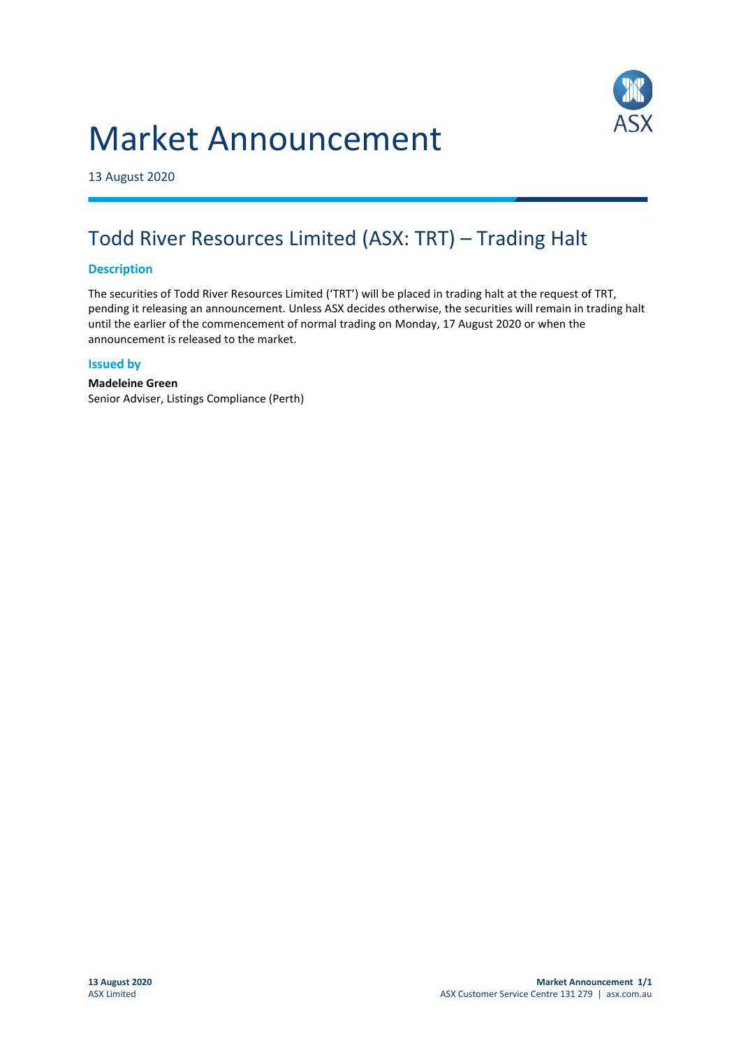# Market Announcement



13 August 2020

## Todd River Resources Limited (ASX: TRT) – Trading Halt

### **Description**

The securities of Todd River Resources Limited ('TRT') will be placed in trading halt at the request of TRT, pending it releasing an announcement. Unless ASX decides otherwise, the securities will remain in trading halt until the earlier of the commencement of normal trading on Monday, 17 August 2020 or when the announcement is released to the market.

#### **Issued by**

#### **Madeleine Green** Senior Adviser, Listings Compliance (Perth)